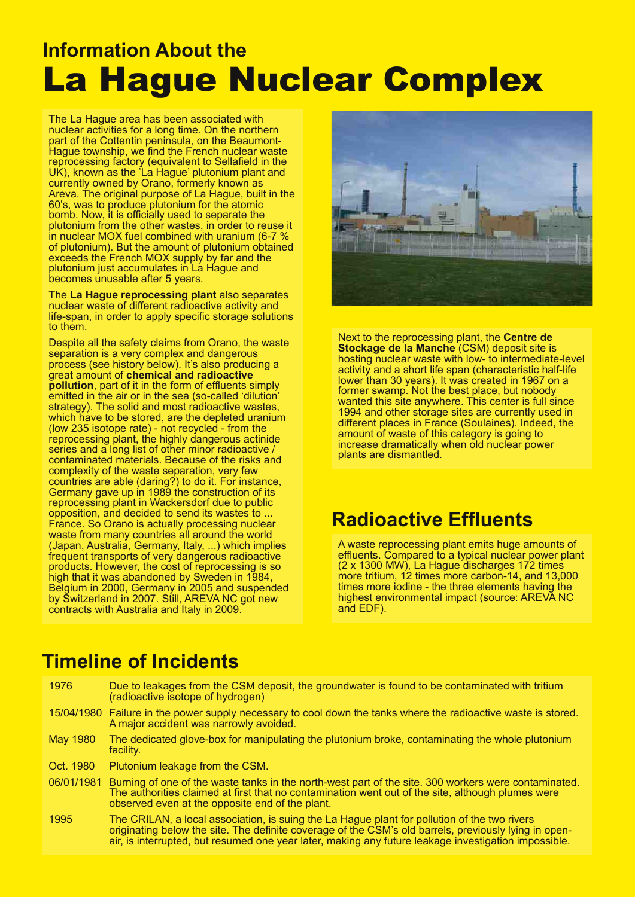### The La Hague area has been associated with the La Hague area has been associated with the La Hague area has been associated with the La Hague area has been associated with the La Hague area has been associated with the La La Hague Nuclear Complex **Information About the** La Hague Nuclear Complex

nuclear activities for a long time. On the northern time of the northern time. On the northern time. On the nor The La Hague area has been associated with<br>The La Hague area has been associated with nuclear activities for a long time. On the northern  $\frac{1}{2}$ part of the Cottentin peninsula, on the Beaumont-Hague township, we find the French nuclear waste reprocessing factory (equivalent to Sellafiek UK), known as the La Hague, plutonium plan currently owned by Orano, formerly known as Areva. The original purpose of La Hague, built in the 60's, was to produce plutonium for the atomic bomb. Now, it is officially used to separate the plutonium from the other wastes, in order to reuse in nuclear MOX fuel combined with uranium  $(6-7, %$ of plutonium). But the amount of plutonium obtained exceeds the French MOX supply by far and the **becomes unusable after 5 years.** reprocessing factory (equivalent to Sellafield in the UK), known as the 'La Hague' plutonium plant and currently owned by Orano, formerly known as bomb. Now, it is officially used to separate the plutonium from the other wastes, in order to reuse it plutonium just accumulates in La Hague and

nuclear waste of different radioactive activity and the different radioactive activity and the second state of The La Hague reprocessing plant also separates nuclear waste of different radioactive activity and life-span, in order to apply specific storage solutions<br>to them. to them.

waste separation is a very complete separation in the complex and dangerous dangerous and dangerous and danger Despite all the safety claims from Orano, the waste separation is a very complex and dangerous process (see history below). It's also producing a great amount of **chemical and radioactive pollution**, part of it in the form of effluents simply emitted in the air or in the sea (so-called 'dilution' strategy). The solid and most radioactive wastes, which have to be stored, are the depleted uranium  $(low 235 isotope rate)$  - not recycled - from the  $l$ reprocessing plant, the highly dangerous actinide series and a long list of other minor radioactive / contaminated materials. Because of the risks and complexity of the waste separation, very few countries are able (daring?) to do it. For instance Germany gave up in 1989 the construction of its construction of its reprocessing plant in Wackersdorf due to public opposition, and decided to send its wastes to ... France. So Orano is actually processing nuclear waste from many countries all around the world (Japan, Australia, Germany, Italy, ...) which implies frequent transports of very dangerous radioactive products. However, the cost of reprocessing is so nign that it was abandoned by Sweden in 1984,<br>Belgium in 2000, Germany in 2005 and suspended complexity of the waste separation, very few countries are able (daring?) to do it. For instance, frequent transports of very dangerous radioactive products. However, the cost of reprocessing is so high that it was abandoned by Sweden in 1984, by Switzerland in 2007. Still, AREVA NC got new contracts with Australia and Italy in 2009.



Next to the reprocessing plant, the **Centre de Stockage de la Manche** (CSM) deposit site is hosting nuclear waste with low- to intermediate-level activity and a short life span (characteristic half-life lower than 30 years). It was created in 1967 on a former swamp. Not the best place, but nobody wanted this site anywhere. This center is full since 1994 and other storage sites are currently used in different places in France (Soulaines). Indeed, the amount of waste of this category is going to increase dramatically when old nuclear power plants are dismantled. The computation of the computation of the computation of the computation of the computation of the computation of the computation of the computation of the computation of the computation of the compu after 5 years.

#### **Radioactive Effluents** effluents. Compared to a typical nuclear power plants.

A waste reprocessing plant emits huge amounts of A waste reprocessing plant emits huge amounts of<br>effluents, Compared to a typical puclear power pla emachts. Sompared to a typical hacieal power pla<br>(2 x 1300 MW), La Hague discharges 172 times  $(2 \times 1900 \text{ mV})$ , Eq Trague discharges 172 annes times more iodine - the three elements having the effluents. Compared to a typical nuclear power plant highest environmental impact (source: AREVA NC and EDF).

#### $10<sub>7</sub>$  Due to leakage from the contaminated with  $\sim$   $10<sub>7</sub>$  deposits to be contaminated with Tritium Tritium Tritium  $\sim$ **Timeline of Incidents**

| 1976            | Due to leakages from the CSM deposit, the groundwater is found to be contaminated with tritium<br>(radioactive isotope of hydrogen)                                                                                                                                                                           |
|-----------------|---------------------------------------------------------------------------------------------------------------------------------------------------------------------------------------------------------------------------------------------------------------------------------------------------------------|
|                 | 15/04/1980 Failure in the power supply necessary to cool down the tanks where the radioactive waste is stored.<br>A major accident was narrowly avoided.                                                                                                                                                      |
| <b>May 1980</b> | The dedicated glove-box for manipulating the plutonium broke, contaminating the whole plutonium<br>facility.                                                                                                                                                                                                  |
| Oct. 1980       | Plutonium leakage from the CSM.                                                                                                                                                                                                                                                                               |
| 06/01/1981      | Burning of one of the waste tanks in the north-west part of the site. 300 workers were contaminated.<br>The authorities claimed at first that no contamination went out of the site, although plumes were<br>observed even at the opposite end of the plant.                                                  |
| 1995            | The CRILAN, a local association, is suing the La Hague plant for pollution of the two rivers<br>originating below the site. The definite coverage of the CSM's old barrels, previously lying in open-<br>air, is interrupted, but resumed one year later, making any future leakage investigation impossible. |